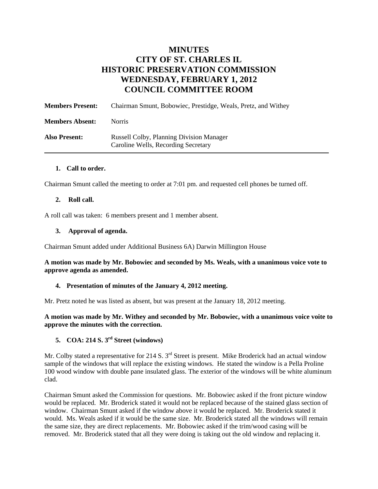# **MINUTES CITY OF ST. CHARLES IL HISTORIC PRESERVATION COMMISSION WEDNESDAY, FEBRUARY 1, 2012 COUNCIL COMMITTEE ROOM**

| <b>Members Present:</b> | Chairman Smunt, Bobowiec, Prestidge, Weals, Pretz, and Withey                          |
|-------------------------|----------------------------------------------------------------------------------------|
| <b>Members Absent:</b>  | <b>Norris</b>                                                                          |
| <b>Also Present:</b>    | <b>Russell Colby, Planning Division Manager</b><br>Caroline Wells, Recording Secretary |

#### **1. Call to order.**

Chairman Smunt called the meeting to order at 7:01 pm. and requested cell phones be turned off.

#### **2. Roll call.**

A roll call was taken: 6 members present and 1 member absent.

#### **3. Approval of agenda.**

Chairman Smunt added under Additional Business 6A) Darwin Millington House

**A motion was made by Mr. Bobowiec and seconded by Ms. Weals, with a unanimous voice vote to approve agenda as amended.**

#### **4. Presentation of minutes of the January 4, 2012 meeting.**

Mr. Pretz noted he was listed as absent, but was present at the January 18, 2012 meeting.

**A motion was made by Mr. Withey and seconded by Mr. Bobowiec, with a unanimous voice voite to approve the minutes with the correction.** 

## **5. COA: 214 S. 3rd Street (windows)**

Mr. Colby stated a representative for 214 S. 3<sup>rd</sup> Street is present. Mike Broderick had an actual window sample of the windows that will replace the existing windows. He stated the window is a Pella Proline 100 wood window with double pane insulated glass. The exterior of the windows will be white aluminum clad.

Chairman Smunt asked the Commission for questions. Mr. Bobowiec asked if the front picture window would be replaced. Mr. Broderick stated it would not be replaced because of the stained glass section of window. Chairman Smunt asked if the window above it would be replaced. Mr. Broderick stated it would. Ms. Weals asked if it would be the same size. Mr. Broderick stated all the windows will remain the same size, they are direct replacements. Mr. Bobowiec asked if the trim/wood casing will be removed. Mr. Broderick stated that all they were doing is taking out the old window and replacing it.